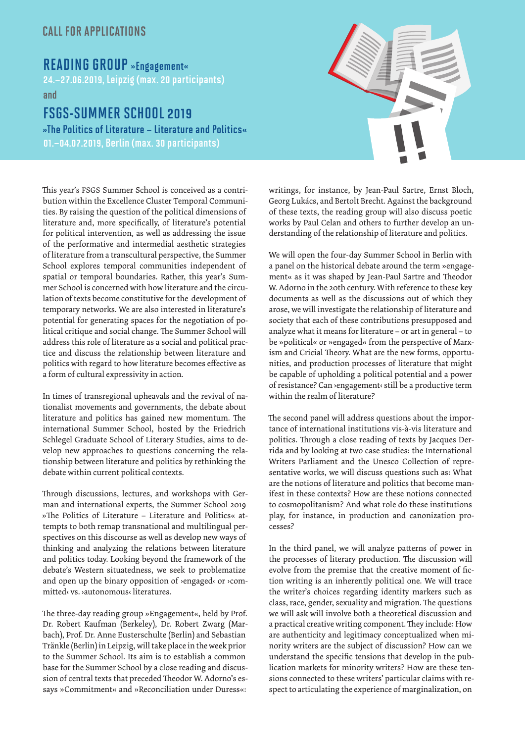## CALL FOR APPLICATIONS

## READING GROUP »Engagement«

24.–27.06.2019, Leipzig (max. 20 participants)

and

# FSGS-SUMMER SCHOOL 2019

»The Politics of Literature – Literature and Politics« 01.–04.07.2019, Berlin (max. 30 participants)



This year's FSGS Summer School is conceived as a contribution within the Excellence Cluster Temporal Communities. By raising the question of the political dimensions of literature and, more specifically, of literature's potential for political intervention, as well as addressing the issue of the performative and intermedial aesthetic strategies of literature from a transcultural perspective, the Summer School explores temporal communities independent of spatial or temporal boundaries. Rather, this year's Summer School is concerned with how literature and the circulation of texts become constitutive for the development of temporary networks. We are also interested in literature's potential for generating spaces for the negotiation of political critique and social change. The Summer School will address this role of literature as a social and political practice and discuss the relationship between literature and politics with regard to how literature becomes effective as a form of cultural expressivity in action.

In times of transregional upheavals and the revival of nationalist movements and governments, the debate about literature and politics has gained new momentum. The international Summer School, hosted by the Friedrich Schlegel Graduate School of Literary Studies, aims to develop new approaches to questions concerning the relationship between literature and politics by rethinking the debate within current political contexts.

Through discussions, lectures, and workshops with German and international experts, the Summer School 2019 »The Politics of Literature – Literature and Politics« attempts to both remap transnational and multilingual perspectives on this discourse as well as develop new ways of thinking and analyzing the relations between literature and politics today. Looking beyond the framework of the debate's Western situatedness, we seek to problematize and open up the binary opposition of **>engaged**< or **>com**mitted‹ vs. ›autonomous‹ literatures.

The three-day reading group »Engagement«, held by Prof. Dr. Robert Kaufman (Berkeley), Dr. Robert Zwarg (Marbach), Prof. Dr. Anne Eusterschulte (Berlin) and Sebastian Tränkle (Berlin) in Leipzig, will take place in the week prior to the Summer School. Its aim is to establish a common base for the Summer School by a close reading and discussion of central texts that preceded Theodor W. Adorno's essays »Commitment« and »Reconciliation under Duress«:

writings, for instance, by Jean-Paul Sartre, Ernst Bloch, Georg Lukács, and Bertolt Brecht. Against the background of these texts, the reading group will also discuss poetic works by Paul Celan and others to further develop an understanding of the relationship of literature and politics.

We will open the four-day Summer School in Berlin with a panel on the historical debate around the term »engagement« as it was shaped by Jean-Paul Sartre and Theodor W. Adorno in the 20th century. With reference to these key documents as well as the discussions out of which they arose, we will investigate the relationship of literature and society that each of these contributions presupposed and analyze what it means for literature – or art in general – to be »political« or »engaged« from the perspective of Marxism and Cricial Theory. What are the new forms, opportunities, and production processes of literature that might be capable of upholding a political potential and a power of resistance? Can ›engagement‹ still be a productive term within the realm of literature?

The second panel will address questions about the importance of international institutions vis-à-vis literature and politics. Through a close reading of texts by Jacques Derrida and by looking at two case studies: the International Writers Parliament and the Unesco Collection of representative works, we will discuss questions such as: What are the notions of literature and politics that become manifest in these contexts? How are these notions connected to cosmopolitanism? And what role do these institutions play, for instance, in production and canonization processes?

In the third panel, we will analyze patterns of power in the processes of literary production. The discussion will evolve from the premise that the creative moment of fiction writing is an inherently political one. We will trace the writer's choices regarding identity markers such as class, race, gender, sexuality and migration. The questions we will ask will involve both a theoretical discussion and a practical creative writing component. They include: How are authenticity and legitimacy conceptualized when minority writers are the subject of discussion? How can we understand the specific tensions that develop in the publication markets for minority writers? How are these tensions connected to these writers' particular claims with respect to articulating the experience of marginalization, on